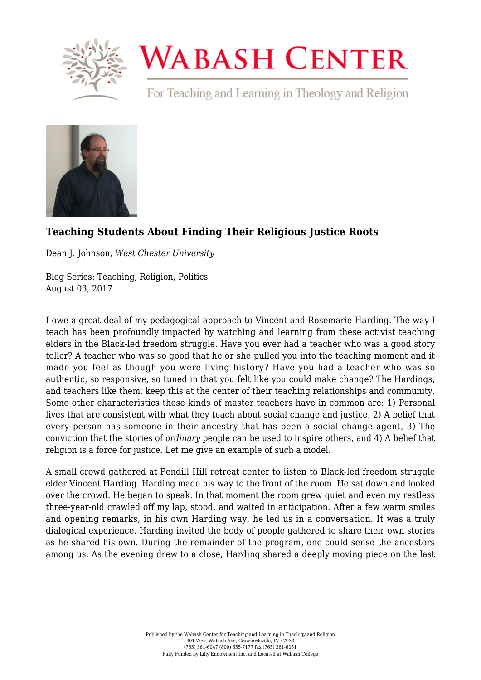

## **WABASH CENTER**

For Teaching and Learning in Theology and Religion



## **[Teaching Students About Finding Their Religious Justice Roots](https://www.wabashcenter.wabash.edu/2017/08/teaching-students-finding-religious-justice-roots/)**

Dean J. Johnson, *West Chester University*

Blog Series: Teaching, Religion, Politics August 03, 2017

I owe a great deal of my pedagogical approach to Vincent and Rosemarie Harding. The way I teach has been profoundly impacted by watching and learning from these activist teaching elders in the Black-led freedom struggle. Have you ever had a teacher who was a good story teller? A teacher who was so good that he or she pulled you into the teaching moment and it made you feel as though you were living history? Have you had a teacher who was so authentic, so responsive, so tuned in that you felt like you could make change? The Hardings, and teachers like them, keep this at the center of their teaching relationships and community. Some other characteristics these kinds of master teachers have in common are: 1) Personal lives that are consistent with what they teach about social change and justice, 2) A belief that every person has someone in their ancestry that has been a social change agent, 3) The conviction that the stories of *ordinary* people can be used to inspire others, and 4) A belief that religion is a force for justice. Let me give an example of such a model.

A small crowd gathered at Pendill Hill retreat center to listen to Black-led freedom struggle elder Vincent Harding. Harding made his way to the front of the room. He sat down and looked over the crowd. He began to speak. In that moment the room grew quiet and even my restless three-year-old crawled off my lap, stood, and waited in anticipation. After a few warm smiles and opening remarks, in his own Harding way, he led us in a conversation. It was a truly dialogical experience. Harding invited the body of people gathered to share their own stories as he shared his own. During the remainder of the program, one could sense the ancestors among us. As the evening drew to a close, Harding shared a deeply moving piece on the last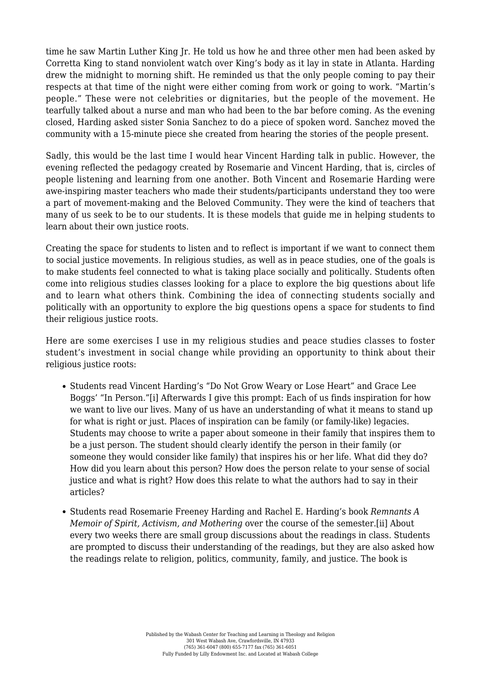time he saw Martin Luther King Jr. He told us how he and three other men had been asked by Corretta King to stand nonviolent watch over King's body as it lay in state in Atlanta. Harding drew the midnight to morning shift. He reminded us that the only people coming to pay their respects at that time of the night were either coming from work or going to work. "Martin's people." These were not celebrities or dignitaries, but the people of the movement. He tearfully talked about a nurse and man who had been to the bar before coming. As the evening closed, Harding asked sister Sonia Sanchez to do a piece of spoken word. Sanchez moved the community with a 15-minute piece she created from hearing the stories of the people present.

Sadly, this would be the last time I would hear Vincent Harding talk in public. However, the evening reflected the pedagogy created by Rosemarie and Vincent Harding, that is, circles of people listening and learning from one another. Both Vincent and Rosemarie Harding were awe-inspiring master teachers who made their students/participants understand they too were a part of movement-making and the Beloved Community. They were the kind of teachers that many of us seek to be to our students. It is these models that guide me in helping students to learn about their own justice roots.

Creating the space for students to listen and to reflect is important if we want to connect them to social justice movements. In religious studies, as well as in peace studies, one of the goals is to make students feel connected to what is taking place socially and politically. Students often come into religious studies classes looking for a place to explore the big questions about life and to learn what others think. Combining the idea of connecting students socially and politically with an opportunity to explore the big questions opens a space for students to find their religious justice roots.

Here are some exercises I use in my religious studies and peace studies classes to foster student's investment in social change while providing an opportunity to think about their religious justice roots:

- <span id="page-1-0"></span>• Students read Vincent Harding's "Do Not Grow Weary or Lose Heart" and Grace Lee Boggs' "In Person.["\[i\]](#page-2-0) Afterwards I give this prompt: Each of us finds inspiration for how we want to live our lives. Many of us have an understanding of what it means to stand up for what is right or just. Places of inspiration can be family (or family-like) legacies. Students may choose to write a paper about someone in their family that inspires them to be a just person. The student should clearly identify the person in their family (or someone they would consider like family) that inspires his or her life. What did they do? How did you learn about this person? How does the person relate to your sense of social justice and what is right? How does this relate to what the authors had to say in their articles?
- <span id="page-1-1"></span>Students read Rosemarie Freeney Harding and Rachel E. Harding's book *Remnants A Memoir of Spirit, Activism, and Mothering* over the course of the semester.[\[ii\]](#page-2-1) About every two weeks there are small group discussions about the readings in class. Students are prompted to discuss their understanding of the readings, but they are also asked how the readings relate to religion, politics, community, family, and justice. The book is